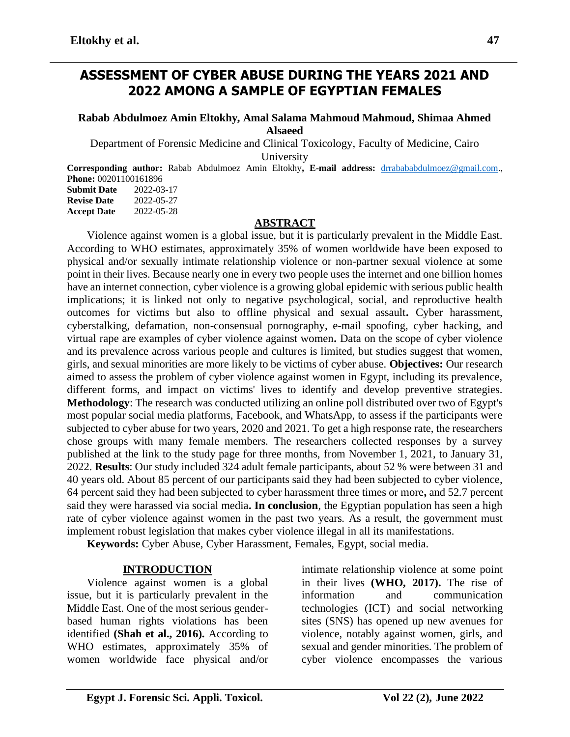# **ASSESSMENT OF CYBER ABUSE DURING THE YEARS 2021 AND 2022 AMONG A SAMPLE OF EGYPTIAN FEMALES**

## **Rabab Abdulmoez Amin Eltokhy, Amal Salama Mahmoud Mahmoud, Shimaa Ahmed Alsaeed**

Department of Forensic Medicine and Clinical Toxicology, Faculty of Medicine, Cairo University

**Corresponding author:** Rabab Abdulmoez Amin Eltokhy**, E-mail address:** [drrabababdulmoez@gmail.com.](mailto:drrabababdulmoez@gmail.com), **Phone:** 00201100161896

| <b>Submit Date</b> | 2022-03-17 |
|--------------------|------------|
| <b>Revise Date</b> | 2022-05-27 |
| <b>Accept Date</b> | 2022-05-28 |

## **ABSTRACT**

Violence against women is a global issue, but it is particularly prevalent in the Middle East. According to WHO estimates, approximately 35% of women worldwide have been exposed to physical and/or sexually intimate relationship violence or non-partner sexual violence at some point in their lives. Because nearly one in every two people uses the internet and one billion homes have an internet connection, cyber violence is a growing global epidemic with serious public health implications; it is linked not only to negative psychological, social, and reproductive health outcomes for victims but also to offline physical and sexual assault**.** Cyber harassment, cyberstalking, defamation, non-consensual pornography, e-mail spoofing, cyber hacking, and virtual rape are examples of cyber violence against women**.** Data on the scope of cyber violence and its prevalence across various people and cultures is limited, but studies suggest that women, girls, and sexual minorities are more likely to be victims of cyber abuse. **Objectives:** Our research aimed to assess the problem of cyber violence against women in Egypt, including its prevalence, different forms, and impact on victims' lives to identify and develop preventive strategies. **Methodology**: The research was conducted utilizing an online poll distributed over two of Egypt's most popular social media platforms, Facebook, and WhatsApp, to assess if the participants were subjected to cyber abuse for two years, 2020 and 2021. To get a high response rate, the researchers chose groups with many female members. The researchers collected responses by a survey published at the link to the study page for three months, from November 1, 2021, to January 31, 2022. **Results**: Our study included 324 adult female participants, about 52 % were between 31 and 40 years old. About 85 percent of our participants said they had been subjected to cyber violence, 64 percent said they had been subjected to cyber harassment three times or more**,** and 52.7 percent said they were harassed via social media**. In conclusion**, the Egyptian population has seen a high rate of cyber violence against women in the past two years. As a result, the government must implement robust legislation that makes cyber violence illegal in all its manifestations.

**Keywords:** Cyber Abuse, Cyber Harassment, Females, Egypt, social media.

## **INTRODUCTION**

Violence against women is a global issue, but it is particularly prevalent in the Middle East. One of the most serious genderbased human rights violations has been identified **(Shah et al., 2016).** According to WHO estimates, approximately 35% of women worldwide face physical and/or

intimate relationship violence at some point in their lives **(WHO, 2017).** The rise of information and communication technologies (ICT) and social networking sites (SNS) has opened up new avenues for violence, notably against women, girls, and sexual and gender minorities. The problem of cyber violence encompasses the various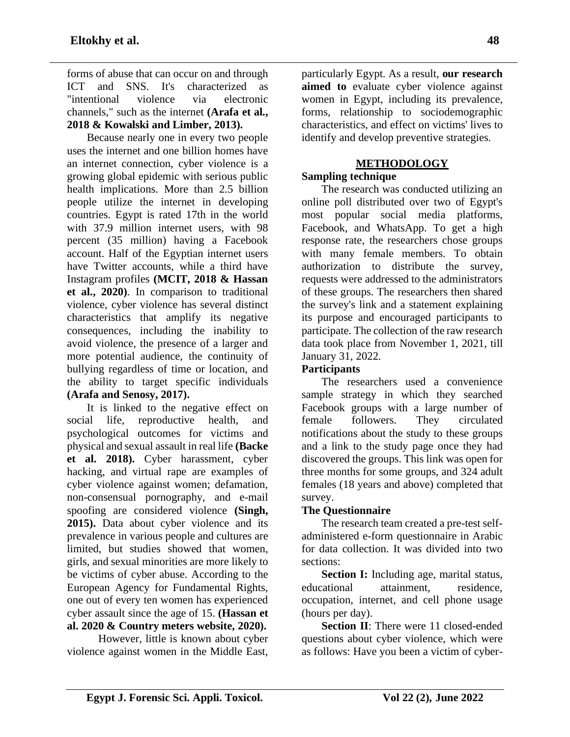forms of abuse that can occur on and through ICT and SNS. It's characterized as "intentional violence via electronic channels," such as the internet **(Arafa et al., 2018 & Kowalski and Limber, 2013).**

Because nearly one in every two people uses the internet and one billion homes have an internet connection, cyber violence is a growing global epidemic with serious public health implications. More than 2.5 billion people utilize the internet in developing countries. Egypt is rated 17th in the world with 37.9 million internet users, with 98 percent (35 million) having a Facebook account. Half of the Egyptian internet users have Twitter accounts, while a third have Instagram profiles **(MCIT, 2018 & Hassan et al., 2020)**. In comparison to traditional violence, cyber violence has several distinct characteristics that amplify its negative consequences, including the inability to avoid violence, the presence of a larger and more potential audience, the continuity of bullying regardless of time or location, and the ability to target specific individuals **(Arafa and Senosy, 2017).**

It is linked to the negative effect on social life, reproductive health, and psychological outcomes for victims and physical and sexual assault in real life **(Backe et al. 2018).** Cyber harassment, cyber hacking, and virtual rape are examples of cyber violence against women; defamation, non-consensual pornography, and e-mail spoofing are considered violence **(Singh, 2015).** Data about cyber violence and its prevalence in various people and cultures are limited, but studies showed that women, girls, and sexual minorities are more likely to be victims of cyber abuse. According to the European Agency for Fundamental Rights, one out of every ten women has experienced cyber assault since the age of 15. **(Hassan et al. 2020 & Country meters website, 2020).**

 However, little is known about cyber violence against women in the Middle East, particularly Egypt. As a result, **our research aimed to** evaluate cyber violence against women in Egypt, including its prevalence, forms, relationship to sociodemographic characteristics, and effect on victims' lives to identify and develop preventive strategies.

# **METHODOLOGY**

# **Sampling technique**

The research was conducted utilizing an online poll distributed over two of Egypt's most popular social media platforms, Facebook, and WhatsApp. To get a high response rate, the researchers chose groups with many female members. To obtain authorization to distribute the survey, requests were addressed to the administrators of these groups. The researchers then shared the survey's link and a statement explaining its purpose and encouraged participants to participate. The collection of the raw research data took place from November 1, 2021, till January 31, 2022.

## **Participants**

The researchers used a convenience sample strategy in which they searched Facebook groups with a large number of female followers. They circulated notifications about the study to these groups and a link to the study page once they had discovered the groups. This link was open for three months for some groups, and 324 adult females (18 years and above) completed that survey.

## **The Questionnaire**

The research team created a pre-test selfadministered e-form questionnaire in Arabic for data collection. It was divided into two sections:

**Section I:** Including age, marital status, educational attainment, residence, occupation, internet, and cell phone usage (hours per day).

**Section II:** There were 11 closed-ended questions about cyber violence, which were as follows: Have you been a victim of cyber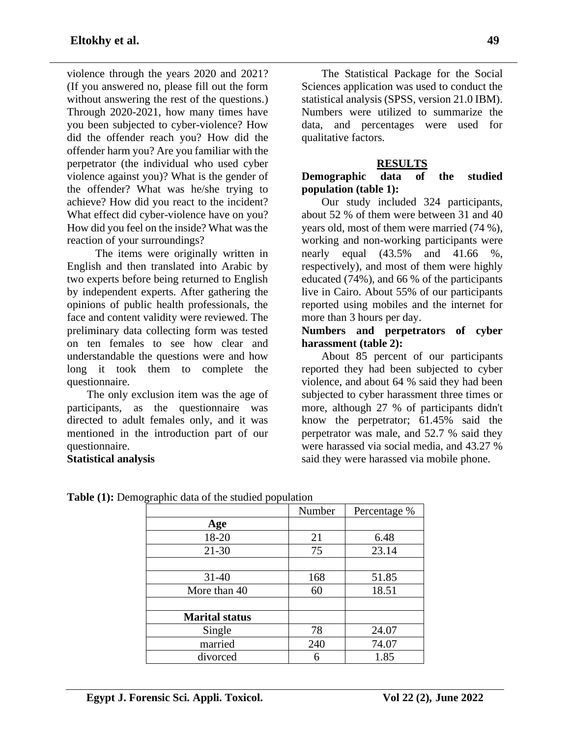violence through the years 2020 and 2021? (If you answered no, please fill out the form without answering the rest of the questions.) Through 2020-2021, how many times have you been subjected to cyber-violence? How did the offender reach you? How did the offender harm you? Are you familiar with the perpetrator (the individual who used cyber violence against you)? What is the gender of the offender? What was he/she trying to achieve? How did you react to the incident? What effect did cyber-violence have on you? How did you feel on the inside? What was the reaction of your surroundings?

 The items were originally written in English and then translated into Arabic by two experts before being returned to English by independent experts. After gathering the opinions of public health professionals, the face and content validity were reviewed. The preliminary data collecting form was tested on ten females to see how clear and understandable the questions were and how long it took them to complete the questionnaire.

The only exclusion item was the age of participants, as the questionnaire was directed to adult females only, and it was mentioned in the introduction part of our questionnaire.

**Statistical analysis**

The Statistical Package for the Social Sciences application was used to conduct the statistical analysis (SPSS, version 21.0 IBM). Numbers were utilized to summarize the data, and percentages were used for qualitative factors.

## **RESULTS**

## **Demographic data of the studied population (table 1):**

Our study included 324 participants, about 52 % of them were between 31 and 40 years old, most of them were married (74 %), working and non-working participants were nearly equal (43.5% and 41.66 %, respectively), and most of them were highly educated (74%), and 66 % of the participants live in Cairo. About 55% of our participants reported using mobiles and the internet for more than 3 hours per day.

#### **Numbers and perpetrators of cyber harassment (table 2):**

About 85 percent of our participants reported they had been subjected to cyber violence, and about 64 % said they had been subjected to cyber harassment three times or more, although 27 % of participants didn't know the perpetrator; 61.45% said the perpetrator was male, and 52.7 % said they were harassed via social media, and 43.27 % said they were harassed via mobile phone.

|                       | Number | Percentage % |
|-----------------------|--------|--------------|
| Age                   |        |              |
| 18-20                 | 21     | 6.48         |
| $21 - 30$             | 75     | 23.14        |
|                       |        |              |
| $31 - 40$             | 168    | 51.85        |
| More than 40          | 60     | 18.51        |
|                       |        |              |
| <b>Marital status</b> |        |              |
| Single                | 78     | 24.07        |
| married               | 240    | 74.07        |
| divorced              | 6      | 1.85         |
|                       |        |              |

**Table (1):** Demographic data of the studied population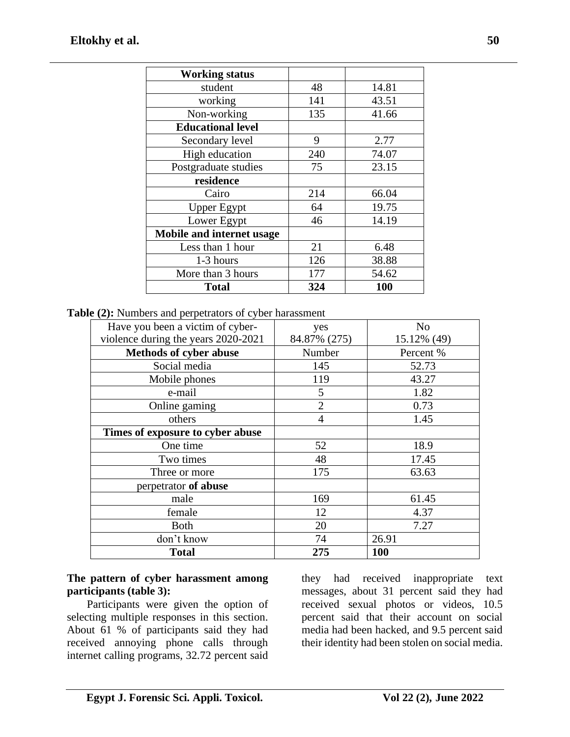| <b>Working status</b>     |     |       |
|---------------------------|-----|-------|
| student                   | 48  | 14.81 |
| working                   | 141 | 43.51 |
| Non-working               | 135 | 41.66 |
| <b>Educational level</b>  |     |       |
| Secondary level           | 9   | 2.77  |
| High education            | 240 | 74.07 |
| Postgraduate studies      | 75  | 23.15 |
| residence                 |     |       |
| Cairo                     | 214 | 66.04 |
| <b>Upper Egypt</b>        | 64  | 19.75 |
| Lower Egypt               | 46  | 14.19 |
| Mobile and internet usage |     |       |
| Less than 1 hour          | 21  | 6.48  |
| 1-3 hours                 | 126 | 38.88 |
| More than 3 hours         | 177 | 54.62 |
| <b>Total</b>              | 324 | 100   |

**Table (2):** Numbers and perpetrators of cyber harassment

| Have you been a victim of cyber-    | yes            | N <sub>o</sub> |
|-------------------------------------|----------------|----------------|
| violence during the years 2020-2021 | 84.87% (275)   | 15.12% (49)    |
| <b>Methods of cyber abuse</b>       | Number         | Percent %      |
| Social media                        | 145            | 52.73          |
| Mobile phones                       | 119            | 43.27          |
| e-mail                              | 5              | 1.82           |
| Online gaming                       | $\overline{2}$ | 0.73           |
| others                              | $\overline{4}$ | 1.45           |
| Times of exposure to cyber abuse    |                |                |
| One time                            | 52             | 18.9           |
| Two times                           | 48             | 17.45          |
| Three or more                       | 175            | 63.63          |
| perpetrator of abuse                |                |                |
| male                                | 169            | 61.45          |
| female                              | 12             | 4.37           |
| <b>Both</b>                         | 20             | 7.27           |
| don't know                          | 74             | 26.91          |
| <b>Total</b>                        | 275            | <b>100</b>     |

## **The pattern of cyber harassment among participants (table 3):**

Participants were given the option of selecting multiple responses in this section. About 61 % of participants said they had received annoying phone calls through internet calling programs, 32.72 percent said

they had received inappropriate text messages, about 31 percent said they had received sexual photos or videos, 10.5 percent said that their account on social media had been hacked, and 9.5 percent said their identity had been stolen on social media.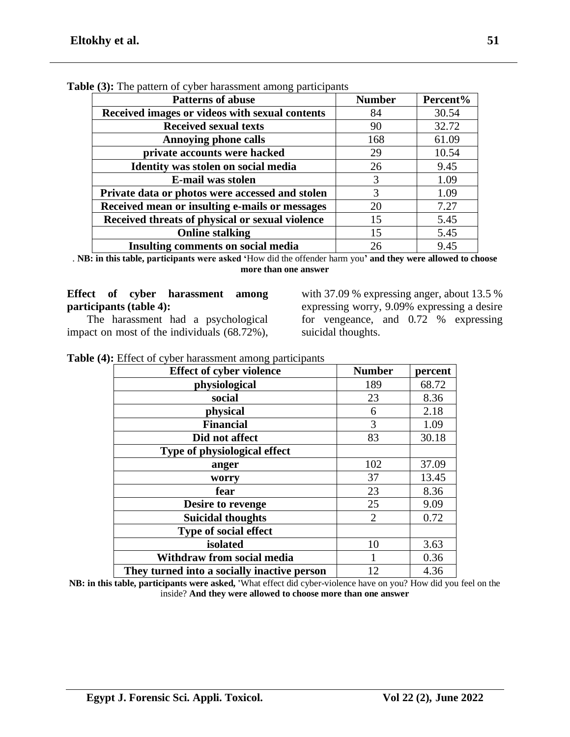| <b>Patterns of abuse</b>                        | <b>Number</b> | Percent% |
|-------------------------------------------------|---------------|----------|
| Received images or videos with sexual contents  | 84            | 30.54    |
| <b>Received sexual texts</b>                    | 90            | 32.72    |
| <b>Annoying phone calls</b>                     | 168           | 61.09    |
| private accounts were hacked                    | 29            | 10.54    |
| Identity was stolen on social media             | 26            | 9.45     |
| E-mail was stolen                               | 3             | 1.09     |
| Private data or photos were accessed and stolen | 3             | 1.09     |
| Received mean or insulting e-mails or messages  | 20            | 7.27     |
| Received threats of physical or sexual violence | 15            | 5.45     |
| <b>Online stalking</b>                          | 15            | 5.45     |
| <b>Insulting comments on social media</b>       | 26            | 9.45     |

**Table (3):** The pattern of cyber harassment among participants

. **NB: in this table, participants were asked '**How did the offender harm you**' and they were allowed to choose more than one answer**

## **Effect of cyber harassment among participants (table 4):**

The harassment had a psychological impact on most of the individuals (68.72%),

with 37.09 % expressing anger, about 13.5 % expressing worry, 9.09% expressing a desire for vengeance, and 0.72 % expressing suicidal thoughts.

| <b>Effect of cyber violence</b>             | <b>Number</b>  | percent |
|---------------------------------------------|----------------|---------|
| physiological                               | 189            | 68.72   |
| social                                      | 23             | 8.36    |
| physical                                    | 6              | 2.18    |
| <b>Financial</b>                            | 3              | 1.09    |
| Did not affect                              | 83             | 30.18   |
| Type of physiological effect                |                |         |
| anger                                       | 102            | 37.09   |
| worry                                       | 37             | 13.45   |
| fear                                        | 23             | 8.36    |
| Desire to revenge                           | 25             | 9.09    |
| <b>Suicidal thoughts</b>                    | $\overline{2}$ | 0.72    |
| Type of social effect                       |                |         |
| isolated                                    | 10             | 3.63    |
| Withdraw from social media                  |                | 0.36    |
| They turned into a socially inactive person | 12             | 4.36    |

**NB: in this table, participants were asked, '**What effect did cyber-violence have on you? How did you feel on the inside? **And they were allowed to choose more than one answer**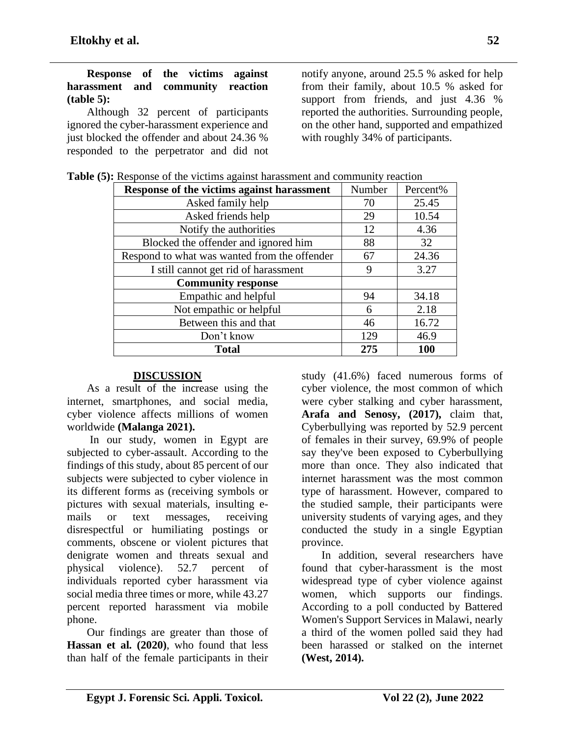Although 32 percent of participants ignored the cyber-harassment experience and just blocked the offender and about 24.36 % responded to the perpetrator and did not

notify anyone, around 25.5 % asked for help from their family, about 10.5 % asked for support from friends, and just 4.36 % reported the authorities. Surrounding people, on the other hand, supported and empathized with roughly 34% of participants.

| Response of the victims against harassment   | Number | Percent%   |
|----------------------------------------------|--------|------------|
| Asked family help                            | 70     | 25.45      |
| Asked friends help                           | 29     | 10.54      |
| Notify the authorities                       | 12     | 4.36       |
| Blocked the offender and ignored him         | 88     | 32         |
| Respond to what was wanted from the offender | 67     | 24.36      |
| I still cannot get rid of harassment         | 9      | 3.27       |
| <b>Community response</b>                    |        |            |
| Empathic and helpful                         | 94     | 34.18      |
| Not empathic or helpful                      | 6      | 2.18       |
| Between this and that                        | 46     | 16.72      |
| Don't know                                   | 129    | 46.9       |
| <b>Total</b>                                 | 275    | <b>100</b> |

**Table (5):** Response of the victims against harassment and community reaction

## **DISCUSSION**

As a result of the increase using the internet, smartphones, and social media, cyber violence affects millions of women worldwide **(Malanga 2021).**

In our study, women in Egypt are subjected to cyber-assault. According to the findings of this study, about 85 percent of our subjects were subjected to cyber violence in its different forms as (receiving symbols or pictures with sexual materials, insulting emails or text messages, receiving disrespectful or humiliating postings or comments, obscene or violent pictures that denigrate women and threats sexual and physical violence). 52.7 percent of individuals reported cyber harassment via social media three times or more, while 43.27 percent reported harassment via mobile phone.

Our findings are greater than those of **Hassan et al. (2020)**, who found that less than half of the female participants in their

study (41.6%) faced numerous forms of cyber violence, the most common of which were cyber stalking and cyber harassment, **Arafa and Senosy, (2017),** claim that, Cyberbullying was reported by 52.9 percent of females in their survey, 69.9% of people say they've been exposed to Cyberbullying more than once. They also indicated that internet harassment was the most common type of harassment. However, compared to the studied sample, their participants were university students of varying ages, and they conducted the study in a single Egyptian province.

In addition, several researchers have found that cyber-harassment is the most widespread type of cyber violence against women, which supports our findings. According to a poll conducted by Battered Women's Support Services in Malawi, nearly a third of the women polled said they had been harassed or stalked on the internet **(West, 2014).**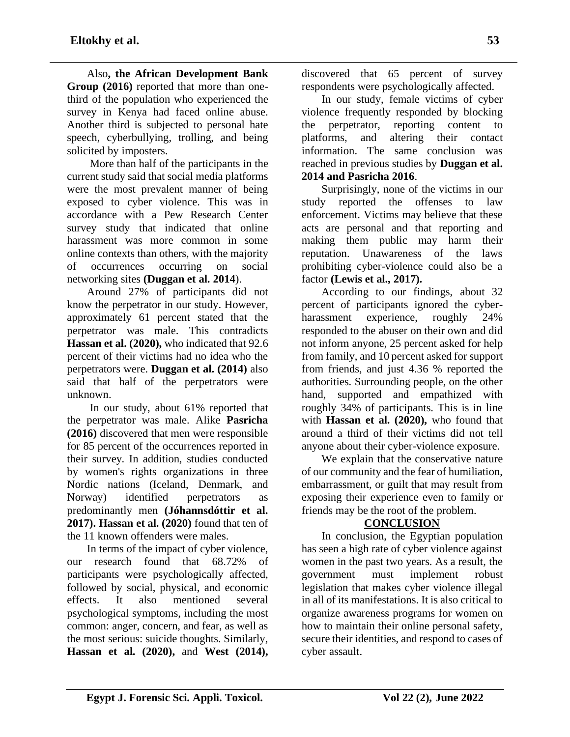Also**, the African Development Bank Group (2016)** reported that more than onethird of the population who experienced the survey in Kenya had faced online abuse. Another third is subjected to personal hate speech, cyberbullying, trolling, and being solicited by imposters.

More than half of the participants in the current study said that social media platforms were the most prevalent manner of being exposed to cyber violence. This was in accordance with a Pew Research Center survey study that indicated that online harassment was more common in some online contexts than others, with the majority of occurrences occurring on social networking sites **(Duggan et al. 2014**).

Around 27% of participants did not know the perpetrator in our study. However, approximately 61 percent stated that the perpetrator was male. This contradicts **Hassan et al. (2020),** who indicated that 92.6 percent of their victims had no idea who the perpetrators were. **Duggan et al. (2014)** also said that half of the perpetrators were unknown.

In our study, about 61% reported that the perpetrator was male. Alike **Pasricha (2016)** discovered that men were responsible for 85 percent of the occurrences reported in their survey. In addition, studies conducted by women's rights organizations in three Nordic nations (Iceland, Denmark, and Norway) identified perpetrators as predominantly men **(Jóhannsdóttir et al. 2017). Hassan et al. (2020)** found that ten of the 11 known offenders were males.

In terms of the impact of cyber violence, our research found that 68.72% of participants were psychologically affected, followed by social, physical, and economic effects. It also mentioned several psychological symptoms, including the most common: anger, concern, and fear, as well as the most serious: suicide thoughts. Similarly, **Hassan et al. (2020),** and **West (2014),**

discovered that 65 percent of survey respondents were psychologically affected.

In our study, female victims of cyber violence frequently responded by blocking the perpetrator, reporting content to platforms, and altering their contact information. The same conclusion was reached in previous studies by **Duggan et al. 2014 and Pasricha 2016**.

Surprisingly, none of the victims in our study reported the offenses to law enforcement. Victims may believe that these acts are personal and that reporting and making them public may harm their reputation. Unawareness of the laws prohibiting cyber-violence could also be a factor **(Lewis et al., 2017).**

According to our findings, about 32 percent of participants ignored the cyberharassment experience, roughly 24% responded to the abuser on their own and did not inform anyone, 25 percent asked for help from family, and 10 percent asked for support from friends, and just 4.36 % reported the authorities. Surrounding people, on the other hand, supported and empathized with roughly 34% of participants. This is in line with **Hassan et al. (2020),** who found that around a third of their victims did not tell anyone about their cyber-violence exposure.

We explain that the conservative nature of our community and the fear of humiliation, embarrassment, or guilt that may result from exposing their experience even to family or friends may be the root of the problem.

## **CONCLUSION**

In conclusion, the Egyptian population has seen a high rate of cyber violence against women in the past two years. As a result, the government must implement robust legislation that makes cyber violence illegal in all of its manifestations. It is also critical to organize awareness programs for women on how to maintain their online personal safety, secure their identities, and respond to cases of cyber assault.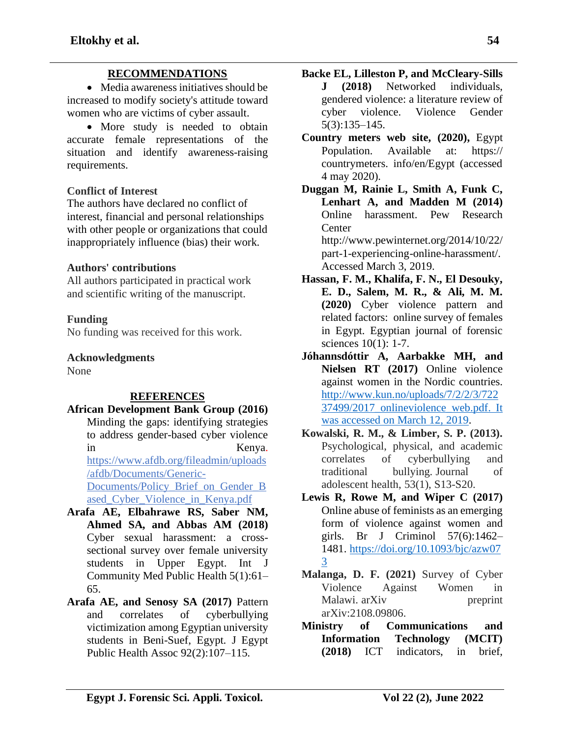## **RECOMMENDATIONS**

• Media awareness initiatives should be increased to modify society's attitude toward women who are victims of cyber assault.

• More study is needed to obtain accurate female representations of the situation and identify awareness-raising requirements.

## **Conflict of Interest**

The authors have declared no conflict of interest, financial and personal relationships with other people or organizations that could inappropriately influence (bias) their work.

#### **Authors' contributions**

All authors participated in practical work and scientific writing of the manuscript.

#### **Funding**

No funding was received for this work.

# **Acknowledgments**

None

## **REFERENCES**

- **African Development Bank Group (2016)**
- Minding the gaps: identifying strategies to address gender-based cyber violence in Kenya. https://www.afdb.org/fileadmin/uploads /afdb/Documents/Generic-Documents/Policy\_Brief\_on\_Gender\_B ased\_Cyber\_Violence\_in\_Kenya.pdf **Arafa AE, Elbahrawe RS, Saber NM,**
- **Ahmed SA, and Abbas AM (2018)** Cyber sexual harassment: a crosssectional survey over female university students in Upper Egypt. Int J Community Med Public Health 5(1):61– 65.
- **Arafa AE, and Senosy SA (2017)** Pattern and correlates of cyberbullying victimization among Egyptian university students in Beni-Suef, Egypt. J Egypt Public Health Assoc 92(2):107–115.
- **Backe EL, Lilleston P, and McCleary-Sills J (2018)** Networked individuals, gendered violence: a literature review of cyber violence. Violence Gender 5(3):135–145.
- **Country meters web site, (2020),** Egypt Population. Available at: https:// countrymeters. info/en/Egypt (accessed 4 may 2020).
- **Duggan M, Rainie L, Smith A, Funk C, Lenhart A, and Madden M (2014)** Online harassment. Pew Research **Center** http://www.pewinternet.org/2014/10/22/ part-1-experiencing-online-harassment/. Accessed March 3, 2019.
- **Hassan, F. M., Khalifa, F. N., El Desouky, E. D., Salem, M. R., & Ali, M. M. (2020)** Cyber violence pattern and related factors: online survey of females in Egypt. Egyptian journal of forensic sciences 10(1): 1-7.
- **Jóhannsdóttir A, Aarbakke MH, and Nielsen RT (2017)** Online violence against women in the Nordic countries. [http://www.kun.no/uploads/7/2/2/3/722](http://www.kun.no/uploads/7/2/2/3/72237499/2017_onlineviolence_web.pdf.%20Accessed%2012%20Mar%202019) [37499/2017\\_onlineviolence\\_web.pdf. It](http://www.kun.no/uploads/7/2/2/3/72237499/2017_onlineviolence_web.pdf.%20Accessed%2012%20Mar%202019)  [was accessed on March 12, 2019.](http://www.kun.no/uploads/7/2/2/3/72237499/2017_onlineviolence_web.pdf.%20Accessed%2012%20Mar%202019)
- **Kowalski, R. M., & Limber, S. P. (2013).** Psychological, physical, and academic correlates of cyberbullying and traditional bullying. Journal of adolescent health, 53(1), S13-S20.
- **Lewis R, Rowe M, and Wiper C (2017)** Online abuse of feminists as an emerging form of violence against women and girls. Br J Criminol 57(6):1462– 1481. [https://doi.org/10.1093/bjc/azw07](https://doi.org/10.1093/bjc/azw073) [3](https://doi.org/10.1093/bjc/azw073)
- **Malanga, D. F. (2021)** Survey of Cyber Violence Against Women in Malawi. arXiv preprint arXiv:2108.09806.
- **Ministry of Communications and Information Technology (MCIT) (2018)** ICT indicators, in brief,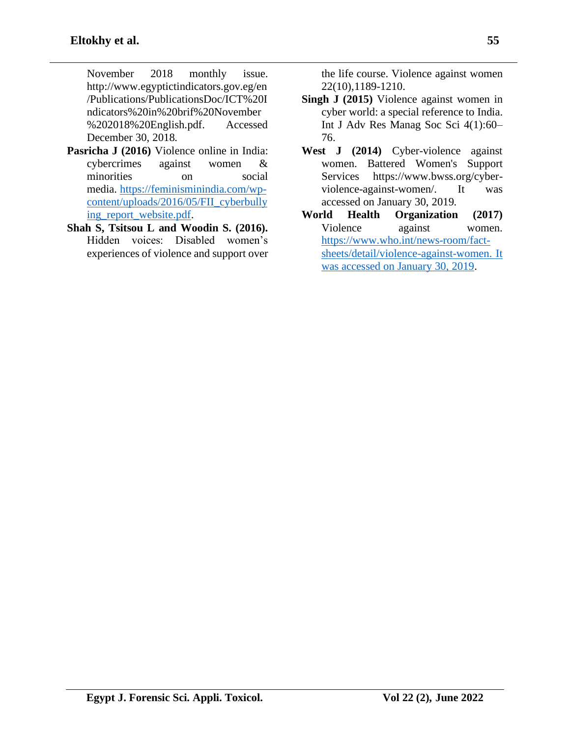November 2018 monthly issue. http://www.egyptictindicators.gov.eg/en /Publications/PublicationsDoc/ICT%20I ndicators%20in%20brif%20November %202018%20English.pdf. Accessed December 30, 2018.

- **Pasricha J (2016)** Violence online in India: cybercrimes against women & minorities on social media. [https://feminisminindia.com/wp](https://feminisminindia.com/wp-content/uploads/2016/05/FII_cyberbullying_report_website.pdf)[content/uploads/2016/05/FII\\_cyberbully](https://feminisminindia.com/wp-content/uploads/2016/05/FII_cyberbullying_report_website.pdf) [ing\\_report\\_website.pdf.](https://feminisminindia.com/wp-content/uploads/2016/05/FII_cyberbullying_report_website.pdf)
- **Shah S, Tsitsou L and Woodin S. (2016).** Hidden voices: Disabled women's experiences of violence and support over

the life course. Violence against women 22(10),1189-1210.

- **Singh J (2015)** Violence against women in cyber world: a special reference to India. Int J Adv Res Manag Soc Sci 4(1):60– 76.
- **West J (2014)** Cyber-violence against women. Battered Women's Support Services https://www.bwss.org/cyberviolence-against-women/. It was accessed on January 30, 2019.
- **World Health Organization (2017)** Violence against women. [https://www.who.int/news-room/fact](https://www.who.int/news-room/fact-sheets/detail/violence-against-women.%20Accessed%2030%20Jan%202019)[sheets/detail/violence-against-women. It](https://www.who.int/news-room/fact-sheets/detail/violence-against-women.%20Accessed%2030%20Jan%202019)  [was accessed on January 30, 2019.](https://www.who.int/news-room/fact-sheets/detail/violence-against-women.%20Accessed%2030%20Jan%202019)